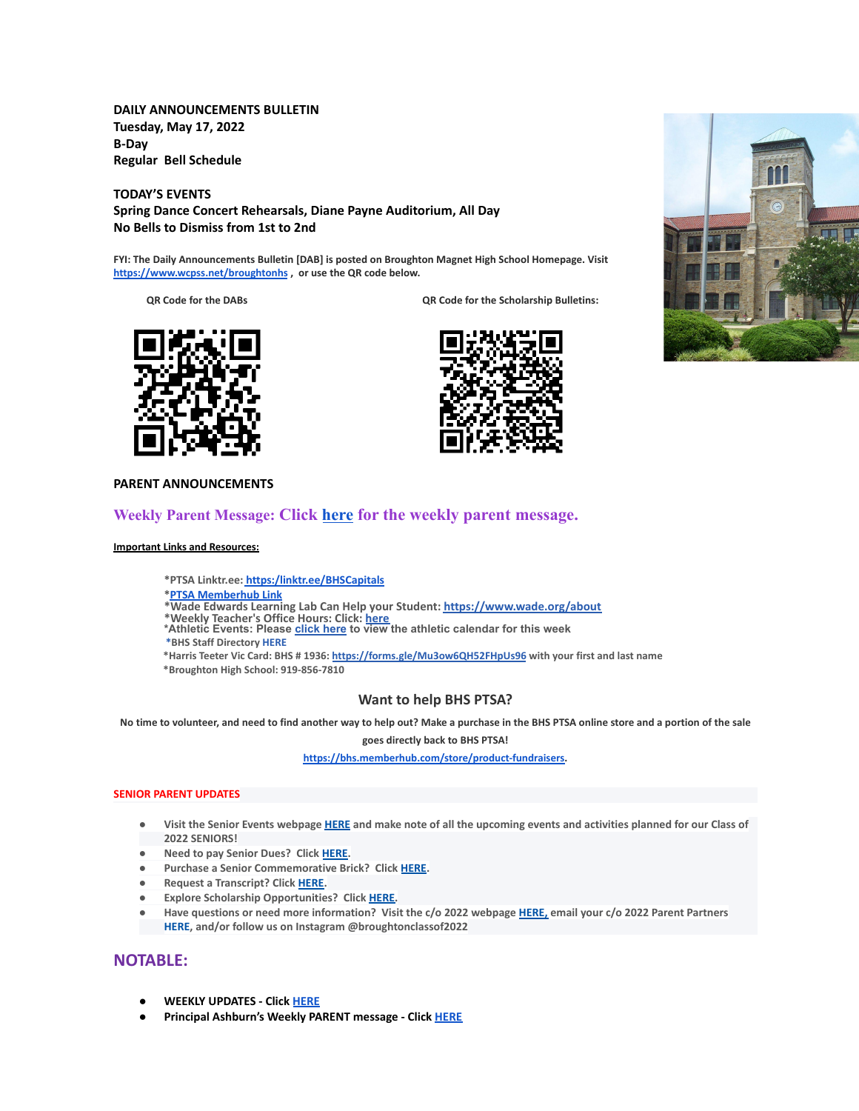**DAILY ANNOUNCEMENTS BULLETIN Tuesday, May 17, 2022 B-Day Regular Bell Schedule**

**TODAY'S EVENTS Spring Dance Concert Rehearsals, Diane Payne Auditorium, All Day No Bells to Dismiss from 1st to 2nd**

**FYI: The Daily Announcements Bulletin [DAB] is posted on Broughton Magnet High School Homepage. Visit <https://www.wcpss.net/broughtonhs> , or use the QR code below.**

**QR Code for the DABs QR Code for the Scholarship Bulletins:**





### **PARENT ANNOUNCEMENTS**

## **Weekly Parent Message: Click [here](https://docs.google.com/document/d/1GYZJxmyqEekEFfzncfr-QTM9xQOudg7eL2OQZsuwmiI/edit?usp=sharing) for the weekly parent message.**

**Important Links and Resources:**

**\*PTSA Linktr.ee: [https:/linktr.ee/BHSCapitals](https://linktr.ee/BHSCapitals)**

**\*PTSA [Memberhub](https://bhs.memberhub.com/store?category=Class%20of%202025) Link**

**\*Wade Edwards Learning Lab Can Help your Student: <https://www.wade.org/about>**

\*Weekly Teacher's Office Hours: Click: <u>[here](http://track.spe.schoolmessenger.com/f/a/VXmQUgL3DjY_xouvtQeSYg~~/AAAAAQA~/RgRjH1ehP0QiaHR0cHM6Ly93d3cud2Nwc3MubmV0L2RvbWFpbi8xNzY0MlcHc2Nob29sbUIKYTghJD5h5cteolIYa21jY29ubmVsbEBidWRkZ3JvdXAuY29tWAQAAAAB)</u><br>\*Athletic Events: Please <u>[click](http://track.spe.schoolmessenger.com/f/a/iNb9DXg0NxAeuYTJ_UBTRg~~/AAAAAQA~/RgRjH1ehP0RFaHR0cHM6Ly93d3cud2FrZWNvdW50eWF0aGxldGljcy5jb20vcGFnZS9zaG93LzE5NTI5MzQtbWFzdGVyLWNhbGVuZGFyVwdzY2hvb2xtQgphOCEkPmHly16iUhhrbWNjb25uZWxsQGJ1ZGRncm91cC5jb21YBAAAAAE~) here</u> to view the athletic calendar for this week

**\*BHS Staff Directory [HERE](https://www.wcpss.net/Page/45215)**

**\*Harris Teeter Vic Card: BHS # 1936: <https://forms.gle/Mu3ow6QH52FHpUs96> with your first and last name \*Broughton High School: 919-856-7810**

**Want to help BHS PTSA?**

No time to volunteer, and need to find another way to help out? Make a purchase in the BHS PTSA online store and a portion of the sale

**goes directly back to BHS PTSA!**

**[https://bhs.memberhub.com/store/product-fundraisers.](https://bhs.memberhub.com/store/product-fundraisers)**

### **SENIOR PARENT UPDATES**

- Visit the Senior Events webpage [HERE](https://m7scym5f.r.us-east-1.awstrack.me/L0/https:%2F%2Fwww.wcpss.net%2FPage%2F35370/1/0100017e4478ab83-fd134d52-021b-4d63-891c-31465321890c-000000/l2HEysyraEkyUxmN8Zb7rr0KEog=252) and make note of all the upcoming events and activities planned for our Class of **2022 SENIORS!**
- **● Need to pay Senior Dues? Click [HERE.](https://m7scym5f.r.us-east-1.awstrack.me/L0/https:%2F%2Fwww.wcpss.net%2FPage%2F50324/1/0100017e4478ab83-fd134d52-021b-4d63-891c-31465321890c-000000/ClmJnMcZl7w6dHljZfUUpO1RgFY=252)**
- **● Purchase a Senior Commemorative Brick? Click [HERE](https://m7scym5f.r.us-east-1.awstrack.me/L0/https:%2F%2Fwww.wcpss.net%2FPage%2F50325/1/0100017e4478ab83-fd134d52-021b-4d63-891c-31465321890c-000000/TOIvngfsD6BboqDTmL5ZVjjDlM4=252).**
- **● Request a Transcript? Click [HERE](https://m7scym5f.r.us-east-1.awstrack.me/L0/https:%2F%2Fwww.wcpss.net%2FPage%2F33378/1/0100017e4478ab83-fd134d52-021b-4d63-891c-31465321890c-000000/wkbUPzHaF79-OclNJOg-dOdn-Xk=252).**
- **● Explore Scholarship Opportunities? Click [HERE.](https://m7scym5f.r.us-east-1.awstrack.me/L0/https:%2F%2Fwww.wcpss.net%2FPage%2F50317/1/0100017e4478ab83-fd134d52-021b-4d63-891c-31465321890c-000000/vl1ViXxu5uYo9BoHks452rI6848=252)**
- Have questions or need more information? Visit the c/o 2022 webpage [HERE,](https://m7scym5f.r.us-east-1.awstrack.me/L0/https:%2F%2Fbhs.memberhub.com%2Fw%2F2022/1/0100017e4478ab83-fd134d52-021b-4d63-891c-31465321890c-000000/oTZaKWxhWWOo0o48Mf6887IPe6k=252) email your c/o 2022 Parent Partners **HERE, and/or follow us on Instagram @broughtonclassof2022**

## **NOTABLE:**

- **● WEEKLY UPDATES Click [HERE](https://drive.google.com/drive/folders/1CBJyOBZLT2bbse2WsoRb7AlIBqVSgGi9?usp=sharing)**
- **● Principal Ashburn's Weekly PARENT message Click [HERE](https://www.wcpss.net/Page/49483)**

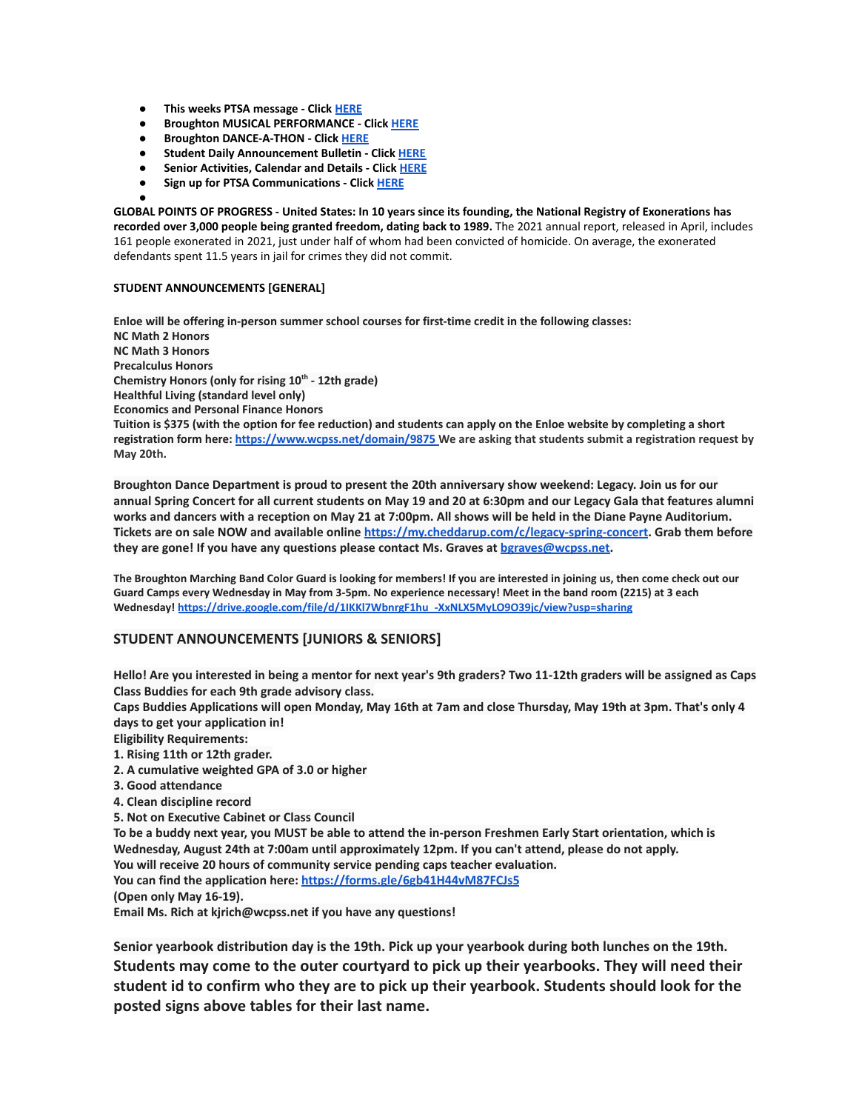- **● This weeks PTSA message Click [HERE](https://bhs.memberhub.com/sends/5a5d78ea-5171-46b7-86fb-19c3d16d11af/view/)**
- **● Broughton MUSICAL PERFORMANCE Click [HERE](https://www.wcpss.net/site/default.aspx?PageType=3&DomainID=4392&ModuleInstanceID=21100&ViewID=6446EE88-D30C-497E-9316-3F8874B3E108&RenderLoc=0&FlexDataID=249883&PageID=9712)**
- **● Broughton DANCE-A-THON Click [HERE](https://www.wcpss.net/site/default.aspx?PageType=3&DomainID=4392&ModuleInstanceID=21100&ViewID=6446EE88-D30C-497E-9316-3F8874B3E108&RenderLoc=0&FlexDataID=250036&PageID=9712)**
- **● Student Daily Announcement Bulletin Click [HERE](https://www.wcpss.net/domain/14645)**
- **● Senior Activities, Calendar and Details Click [HERE](https://www.wcpss.net/domain/13527)**
- **● Sign up for PTSA Communications Click [HERE](https://bhs.memberhub.com/join/6211b1)**

**● GLOBAL POINTS OF PROGRESS - United States: In 10 years since its founding, the National Registry of Exonerations has recorded over 3,000 people being granted freedom, dating back to 1989.** The 2021 annual report, released in April, includes 161 people exonerated in 2021, just under half of whom had been convicted of homicide. On average, the exonerated defendants spent 11.5 years in jail for crimes they did not commit.

### **STUDENT ANNOUNCEMENTS [GENERAL]**

**Enloe will be offering in-person summer school courses for first-time credit in the following classes: NC Math 2 Honors NC Math 3 Honors Precalculus Honors Chemistry Honors (only for rising 10th - 12th grade) Healthful Living (standard level only) Economics and Personal Finance Honors Tuition is \$375 (with the option for fee reduction) and students can apply on the Enloe website by completing a short registration form here: <https://www.wcpss.net/domain/9875> We are asking that students submit a registration request by May 20th.**

**Broughton Dance Department is proud to present the 20th anniversary show weekend: Legacy. Join us for our** annual Spring Concert for all current students on May 19 and 20 at 6:30pm and our Legacy Gala that features alumni works and dancers with a reception on May 21 at 7:00pm. All shows will be held in the Diane Payne Auditorium. **Tickets are on sale NOW and available online <https://my.cheddarup.com/c/legacy-spring-concert>. Grab them before they are gone! If you have any questions please contact Ms. Graves at [bgraves@wcpss.net.](mailto:bgraves@wcpss.net)**

The Broughton Marching Band Color Guard is looking for members! If you are interested in joining us, then come check out our Guard Camps every Wednesday in May from 3-5pm. No experience necessary! Meet in the band room (2215) at 3 each **Wednesday! [https://drive.google.com/file/d/1IKKl7WbnrgF1hu\\_-XxNLX5MyLO9O39jc/view?usp=sharing](https://drive.google.com/file/d/1IKKl7WbnrgF1hu_-XxNLX5MyLO9O39jc/view?usp=sharing)**

### **STUDENT ANNOUNCEMENTS [JUNIORS & SENIORS]**

Hello! Are you interested in being a mentor for next year's 9th graders? Two 11-12th graders will be assigned as Caps **Class Buddies for each 9th grade advisory class.**

Caps Buddies Applications will open Monday, May 16th at 7am and close Thursday, May 19th at 3pm. That's only 4 **days to get your application in!**

**Eligibility Requirements:**

**1. Rising 11th or 12th grader.**

- **2. A cumulative weighted GPA of 3.0 or higher**
- **3. Good attendance**
- **4. Clean discipline record**
- **5. Not on Executive Cabinet or Class Council**

To be a buddy next year, you MUST be able to attend the in-person Freshmen Early Start orientation, which is **Wednesday, August 24th at 7:00am until approximately 12pm. If you can't attend, please do not apply. You will receive 20 hours of community service pending caps teacher evaluation.**

**You can find the application here: <https://forms.gle/6gb41H44vM87FCJs5>**

**(Open only May 16-19).**

**Email Ms. Rich at kjrich@wcpss.net if you have any questions!**

**Senior yearbook distribution day is the 19th. Pick up your yearbook during both lunches on the 19th. Students may come to the outer courtyard to pick up their yearbooks. They will need their student id to confirm who they are to pick up their yearbook. Students should look for the posted signs above tables for their last name.**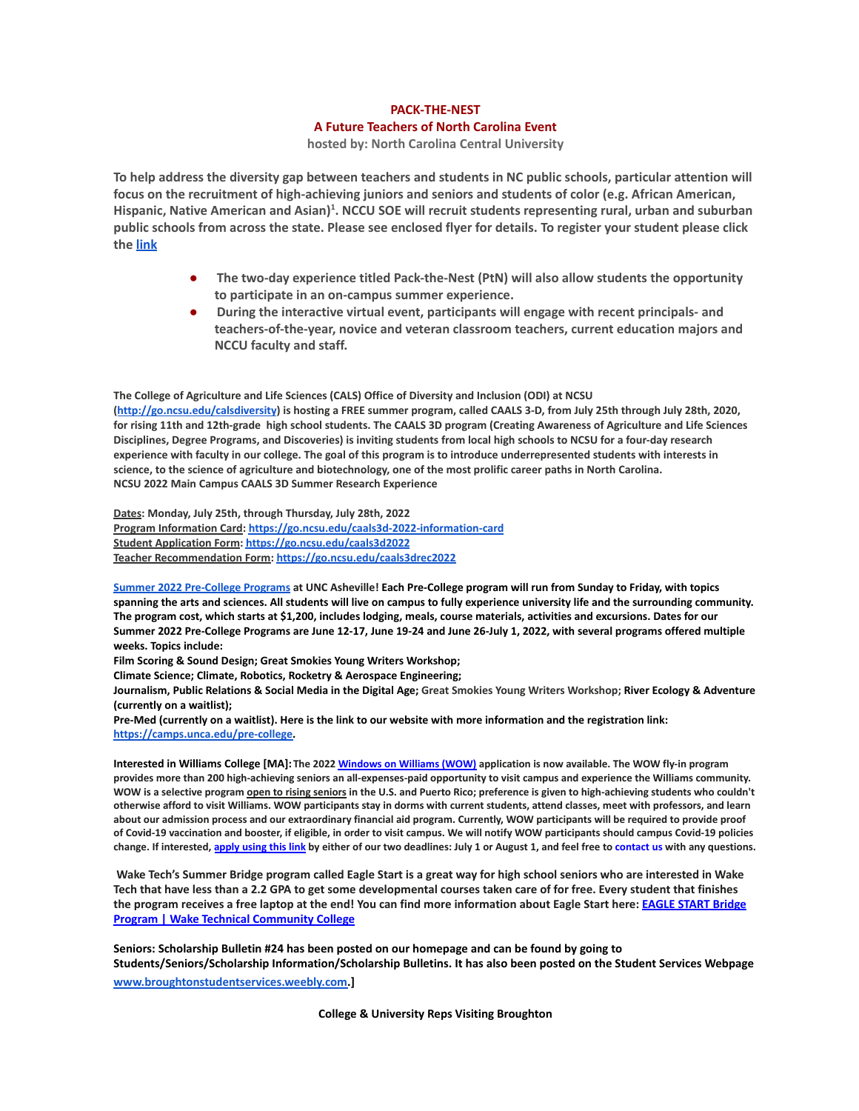# **PACK-THE-NEST A Future Teachers of North Carolina Event**

**hosted by: North Carolina Central University**

To help address the diversity gap between teachers and students in NC public schools, particular attention will **focus on the recruitment of high-achieving juniors and seniors and students of color (e.g. African American,** Hispanic, Native American and Asian)<sup>1</sup>. NCCU SOE will recruit students representing rural, urban and suburban public schools from across the state. Please see enclosed flyer for details. To register your student please click **the [link](https://forms.gle/1MaHrmmkfmE5zvyt5)**

- **● The two-day experience titled Pack-the-Nest (PtN) will also allow students the opportunity to participate in an on-campus summer experience.**
- **● During the interactive virtual event, participants will engage with recent principals- and teachers-of-the-year, novice and veteran classroom teachers, current education majors and NCCU faculty and staff.**

**The College of Agriculture and Life Sciences (CALS) Office of Diversity and Inclusion (ODI) at NCSU** (<http://go.ncsu.edu/calsdiversity>) is hosting a FREE summer program, called CAALS 3-D, from July 25th through July 28th, 2020, for rising 11th and 12th-grade high school students. The CAALS 3D program (Creating Awareness of Agriculture and Life Sciences Disciplines, Degree Programs, and Discoveries) is inviting students from local high schools to NCSU for a four-day research experience with faculty in our college. The goal of this program is to introduce underrepresented students with interests in science, to the science of agriculture and biotechnology, one of the most prolific career paths in North Carolina. **NCSU 2022 Main Campus CAALS 3D Summer Research Experience**

**Dates: Monday, July 25th, through Thursday, July 28th, 2022 Program Information Card: <https://go.ncsu.edu/caals3d-2022-information-card> Student Application Form: <https://go.ncsu.edu/caals3d2022> Teacher Recommendation Form: <https://go.ncsu.edu/caals3drec2022>**

Summer 2022 [Pre-College](https://camps.unca.edu/pre-college-programs/) Programs at UNC Asheville! Each Pre-College program will run from Sunday to Friday, with topics spanning the arts and sciences. All students will live on campus to fully experience university life and the surrounding community. The program cost, which starts at \$1,200, includes lodging, meals, course materials, activities and excursions. Dates for our Summer 2022 Pre-College Programs are June 12-17, June 19-24 and June 26-July 1, 2022, with several programs offered multiple **weeks. Topics include:**

**Film Scoring & Sound Design; Great Smokies Young Writers Workshop;**

**Climate Science; Climate, Robotics, Rocketry & Aerospace Engineering;**

Journalism, Public Relations & Social Media in the Digital Age; Great Smokies Young Writers Workshop; River Ecology & Adventure **(currently on a waitlist);**

Pre-Med (currently on a waitlist). Here is the link to our website with more information and the registration link[:](https://camps.unca.edu/pre-college) **[https://camps.unca.edu/pre-college.](https://camps.unca.edu/pre-college)**

Interested in Williams College [MA]: The 2022 [Windows](https://mx.technolutions.net/ss/c/gsby7xed_Q9kJKoUKuDGdEDQ5EZ0zkf0Se-vEN2pcLJvNieDIGwebw0_W5a1u8B3fbzELF4xmRGdbuWDLA6dHw/3lz/73iF5YGpSreWdvueHbMmUA/h0/ms4neP3bRoQAjixIlq5ySwIoM0gJrWDsFrHRlDdk-VM) on Williams (WOW) application is now available. The WOW fly-in program provides more than 200 high-achieving seniors an all-expenses-paid opportunity to visit campus and experience the Williams community. WOW is a selective program open to rising seniors in the U.S. and Puerto Rico; preference is given to high-achieving students who couldn't otherwise afford to visit Williams. WOW participants stay in dorms with current students, attend classes, meet with professors, and learn about our admission process and our extraordinary financial aid program. Currently, WOW participants will be required to provide proof of Covid-19 vaccination and booster, if eligible, in order to visit campus. We will notify WOW participants should campus Covid-19 policies change. If interested, [apply](https://mx.technolutions.net/ss/c/gsby7xed_Q9kJKoUKuDGdEDQ5EZ0zkf0Se-vEN2pcLJvNieDIGwebw0_W5a1u8B3fbzELF4xmRGdbuWDLA6dHw/3lz/73iF5YGpSreWdvueHbMmUA/h1/N-MCA_KKEyK8iuKV8BcJGpE5_DZfN3c_Kw4V9EoBJQM) using this link by either of our two deadlines: July 1 or August 1, and feel free to contact us with any questions.

**Wake Tech's Summer Bridge program called Eagle Start is a great way for high school seniors who are interested in Wake Tech that have less than a 2.2 GPA to get some developmental courses taken care of for free. Every student that finishes the program receives a free laptop at the end! You can find more information about Eagle Start here: [EAGLE START Bridge](https://www.waketech.edu/student-life/pathways-male-mentoring/eagle-start) [Program | Wake Technical Community College](https://www.waketech.edu/student-life/pathways-male-mentoring/eagle-start)**

**Seniors: Scholarship Bulletin #24 has been posted on our homepage and can be found by going to Students/Seniors/Scholarship Information/Scholarship Bulletins. It has also been posted on the Student Services Webpage [www.broughtonstudentservices.weebly.com.](http://www.broughtonstudentservices.weebly.com)]**

**College & University Reps Visiting Broughton**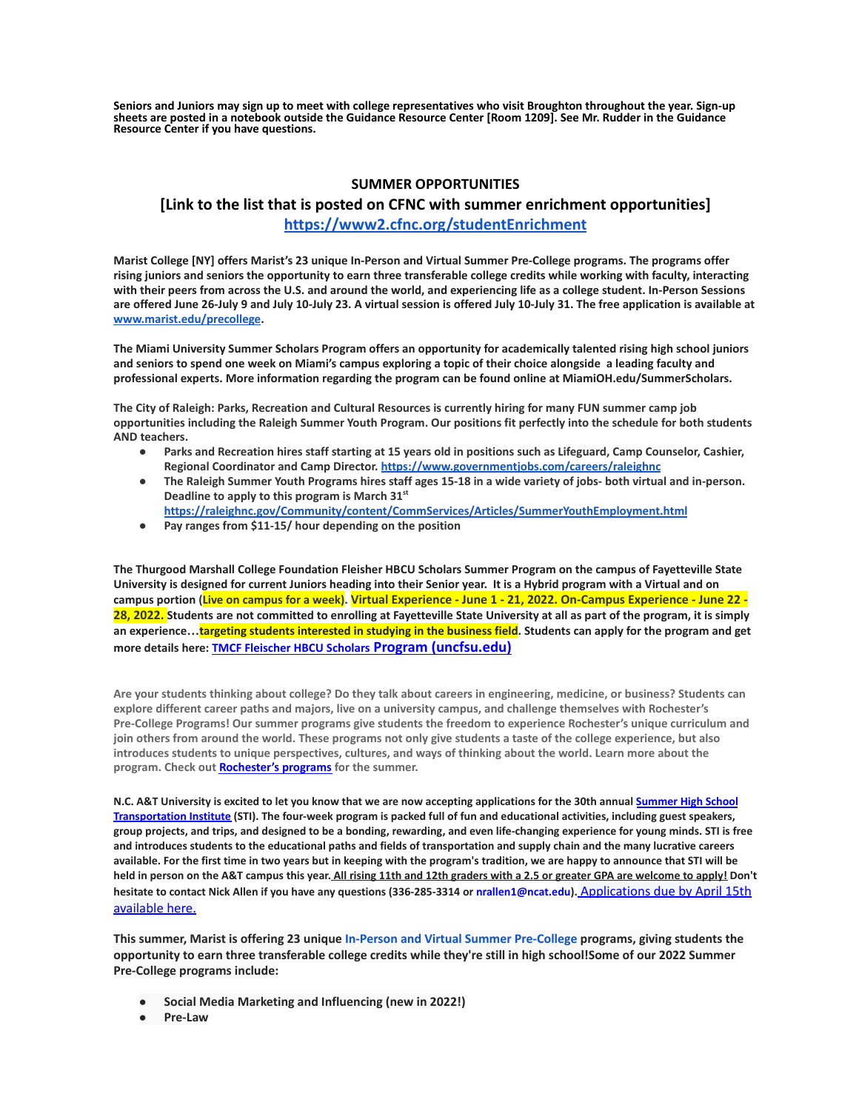**Seniors and Juniors may sign up to meet with college representatives who visit Broughton throughout the year. Sign-up sheets are posted in a notebook outside the Guidance Resource Center [Room 1209]. See Mr. Rudder in the Guidance Resource Center if you have questions.**

### **SUMMER OPPORTUNITIES**

## **[Link to the list that is posted on CFNC with summer enrichment opportunities] <https://www2.cfnc.org/studentEnrichment>**

**Marist College [NY] offers Marist's 23 unique In-Person and Virtual Summer Pre-College programs. The programs offer rising juniors and seniors the opportunity to earn three transferable college credits while working with faculty, interacting with their peers from across the U.S. and around the world, and experiencing life as a college student. In-Person Sessions are offered June 26-July 9 and July 10-July 23. A virtual session is offered July 10-July 31. The free application is available at [www.marist.edu/precollege](http://www.marist.edu/precollege).**

**The Miami University Summer Scholars Program offers an opportunity for academically talented rising high school juniors and seniors to spend one week on Miami's campus exploring a topic of their choice alongside a leading faculty and professional experts. More information regarding the program can be found online at MiamiOH.edu/SummerScholars.**

**The City of Raleigh: Parks, Recreation and Cultural Resources is currently hiring for many FUN summer camp job opportunities including the Raleigh Summer Youth Program. Our positions fit perfectly into the schedule for both students AND teachers.**

- **● Parks and Recreation hires staff starting at 15 years old in positions such as Lifeguard, Camp Counselor, Cashier, Regional Coordinator and Camp Director. <https://www.governmentjobs.com/careers/raleighnc>**
- **● The Raleigh Summer Youth Programs hires staff ages 15-18 in a wide variety of jobs- both virtual and in-person. Deadline to apply to this program is March 31st**
- **<https://raleighnc.gov/Community/content/CommServices/Articles/SummerYouthEmployment.html>**
- **● Pay ranges from \$11-15/ hour depending on the position**

**The Thurgood Marshall College Foundation Fleisher HBCU Scholars Summer Program on the campus of Fayetteville State University is designed for current Juniors heading into their Senior year. It is a Hybrid program with a Virtual and on** campus portion (Live on campus for a week). Virtual Experience - June 1 - 21, 2022. On-Campus Experience - June 22 -**28, 2022. Students are not committed to enrolling at Fayetteville State University at all as part of the program, it is simply an experience…targeting students interested in studying in the business field. Students can apply for the program and get more details here: [TMCF Fleischer HBCU Scholars](https://www.uncfsu.edu/fsu-admissions/undergraduate-admissions/freshman/tmcf-fleischer-hbcu-scholars-program) Program (uncfsu.edu)**

**Are your students thinking about college? Do they talk about careers in engineering, medicine, or business? Students can explore different career paths and majors, live on a university campus, and challenge themselves with Rochester's Pre-College Programs! Our summer programs give students the freedom to experience Rochester's unique curriculum and join others from around the world. These programs not only give students a taste of the college experience, but also introduces students to unique perspectives, cultures, and ways of thinking about the world. Learn more about the program. Check out [Rochester's programs](https://mx.technolutions.net/ss/c/VpDhrCrvzjOrNk6AZ3TbHmfciYltKrD7MBPJoCczPWIpxnRQzWKzzHDQWRCT4ITrZgBGUpBV0oJyZx6JR4wlKA/3k5/S_JCymRIRTKmq8wpxCFQXg/h1/NhgfUr5_fLermZgjpTef9a9tmAUC5e_IGJRjXZLuFKQ) for the summer.**

N.C. A&T University is excited to let you know that we are now accepting applications for the 30th annual [Summer](https://ncat.us10.list-manage.com/track/click?u=16e0de389d8e5c15344477a62&id=d5f9e08b9c&e=61b6ee945d) High School [Transportation](https://ncat.us10.list-manage.com/track/click?u=16e0de389d8e5c15344477a62&id=d5f9e08b9c&e=61b6ee945d) Institute (STI). The four-week program is packed full of fun and educational activities, including guest speakers, group projects, and trips, and designed to be a bonding, rewarding, and even life-changing experience for young minds. STI is free and introduces students to the educational paths and fields of transportation and supply chain and the many lucrative careers available. For the first time in two years but in keeping with the program's tradition, we are happy to announce that STI will be held in person on the A&T campus this year. All rising 11th and 12th graders with a 2.5 or greater GPA are welcome to apply! Don't **hesitate to contact Nick Allen if you have any questions (336-285-3314 or nrallen1@ncat.edu).** [Applications](https://ncat.us10.list-manage.com/track/click?u=16e0de389d8e5c15344477a62&id=b587740df6&e=61b6ee945d) due by April 15th [available](https://ncat.us10.list-manage.com/track/click?u=16e0de389d8e5c15344477a62&id=b587740df6&e=61b6ee945d) here.

**This summer, Marist is offering 23 unique In-Person and Virtual Summer [Pre-College](https://api.targetx.com/email-interact/redirect?id=MTEwMDAwNDI5IDcwMTFQMDAwMDAwdWRmRVFBUSBhMEcxUDAwMDAxVjd5MkxVQVIgMDAzMWEwMDAwMEJVenBBQUFU&link=https%3A//www.marist.edu/admission/summer-pre-college&tlink=aHR0cHM6Ly93d3cubWFyaXN0LmVkdS9hZG1pc3Npb24vc3VtbWVyLXByZS1jb2xsZWdl) programs, giving students the** opportunity to earn three transferable college credits while they're still in high school!Some of our 2022 Summer **Pre-College programs include:**

- **● Social Media Marketing and Influencing (new in 2022!)**
- **● Pre-Law**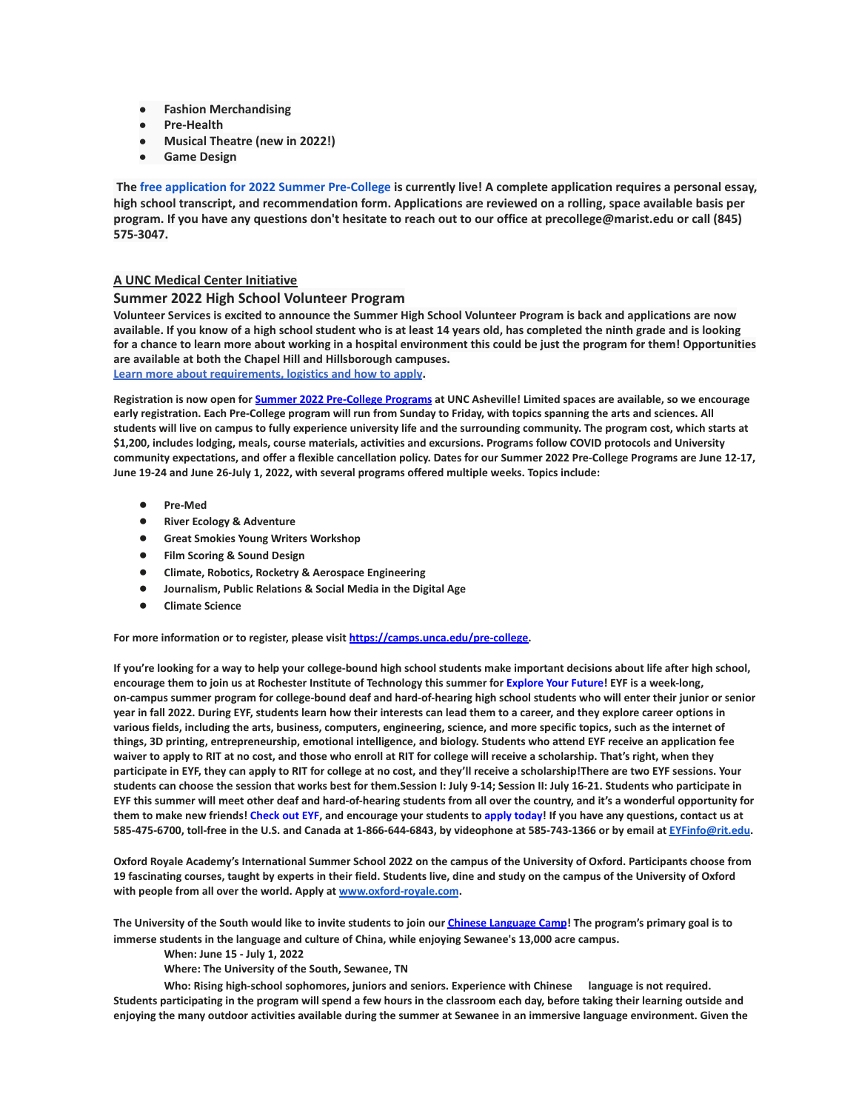- **● Fashion Merchandising**
- **● Pre-Health**
- **● Musical Theatre (new in 2022!)**
- **● Game Design**

The free application for 2022 Summer [Pre-College](https://api.targetx.com/email-interact/redirect?id=MTEwMDAwNDI5IDcwMTFQMDAwMDAwdWRmRVFBUSBhMEcxUDAwMDAxVjd5MkxVQVIgMDAzMWEwMDAwMEJVenBBQUFU&link=https%3A//www.marist.edu/admission/summer-pre-college/how-to-apply&tlink=aHR0cHM6Ly93d3cubWFyaXN0LmVkdS9hZG1pc3Npb24vc3VtbWVyLXByZS1jb2xsZWdlL2hvdy10by1hcHBseQ%3D%3D) is currently live! A complete application requires a personal essay, high school transcript, and recommendation form. Applications are reviewed on a rolling, space available basis per program. If you have any questions don't hesitate to reach out to our office at precollege@marist.edu or call (845) **575-3047.**

### **A UNC Medical Center Initiative**

#### **Summer 2022 High School Volunteer Program**

**Volunteer Services is excited to announce the Summer High School Volunteer Program is back and applications are now available. If you know of a high school student who is at least 14 years old, has completed the ninth grade and is looking for a chance to learn more about working in a hospital environment this could be just the program for them! Opportunities are available at both the Chapel Hill and Hillsborough campuses.**

**[Learn more about requirements, logistics and how to apply](https://www.uncmedicalcenter.org/uncmc/support/volunteer-services/high-school-volunteers/).**

Registration is now open for Summer 2022 [Pre-College](https://mx.technolutions.net/ss/c/cHS6KxvaczfHhqkpLrKMJVWPxcQYRt0e0iEku2lDCy7TWiJx1_55o8zjVGV1sVk6/3jg/1SU4Iqm8RKCGs9Kqp3oKCA/h1/8KmmmA0tWn519kb2cHeogzMl7YlN_0BGLRgnvms3mCI) Programs at UNC Asheville! Limited spaces are available, so we encourage early registration. Each Pre-College program will run from Sunday to Friday, with topics spanning the arts and sciences. All students will live on campus to fully experience university life and the surrounding community. The program cost, which starts at \$1,200, includes lodging, meals, course materials, activities and excursions. Programs follow COVID protocols and University community expectations, and offer a flexible cancellation policy. Dates for our Summer 2022 Pre-College Programs are June 12-17, **June 19-24 and June 26-July 1, 2022, with several programs offered multiple weeks. Topics include:**

- **● Pre-Med**
- **● River Ecology & Adventure**
- **● Great Smokies Young Writers Workshop**
- **● Film Scoring & Sound Design**
- **● Climate, Robotics, Rocketry & Aerospace Engineering**
- **● Journalism, Public Relations & Social Media in the Digital Age**
- **● Climate Science**

**For more information or to register, please visit [https://camps.unca.edu/pre-college.](https://mx.technolutions.net/ss/c/BQM-IylQKwVhFDmSUz94JMzQQ0hkkx5ESJs5UdbzD71mct6i1Y__RJ3rL4CzntUn/3jg/1SU4Iqm8RKCGs9Kqp3oKCA/h2/MZqaRAcrABE7L3WtqgiOohchCUtuWHHU1_eALUf2hTU)**

If you're looking for a way to help your college-bound high school students make important decisions about life after high school, encourage them to join us at Rochester Institute of Technology this summer for [Explore](https://mx.technolutions.net/ss/c/gsby7xed_Q9kJKoUKuDGdB9R9sive_ZsM1Qb_nhkgjA08w4AqgRoJb0vlLFSSjZT/3j6/cfOu9R3lR8u3xTRhpngdYQ/h2/xzdGfzy3I2uSoAWXNd4vWkN1gV7yfnaiLQn6UQatgnc) Your Future! EYF is a week-long, on-campus summer program for college-bound deaf and hard-of-hearing high school students who will enter their junior or senior year in fall 2022. During EYF, students learn how their interests can lead them to a career, and they explore career options in various fields, including the arts, business, computers, engineering, science, and more specific topics, such as the internet of things, 3D printing, entrepreneurship, emotional intelligence, and biology. Students who attend EYF receive an application fee waiver to apply to RIT at no cost, and those who enroll at RIT for college will receive a scholarship. That's right, when they participate in EYF, they can apply to RIT for college at no cost, and they'll receive a scholarship!There are two EYF sessions. Your students can choose the session that works best for them.Session I: July 9-14; Session II: July 16-21. Students who participate in EYF this summer will meet other deaf and hard-of-hearing students from all over the country, and it's a wonderful opportunity for them to make new friends! [Check](https://mx.technolutions.net/ss/c/gsby7xed_Q9kJKoUKuDGdB9R9sive_ZsM1Qb_nhkgjA08w4AqgRoJb0vlLFSSjZT/3j6/cfOu9R3lR8u3xTRhpngdYQ/h3/EJAJ5IZYnhy_5EoPb20FqK_vFekSoBF5wdP5m4I0v8E) out EYF, and encourage your students to apply [today!](https://mx.technolutions.net/ss/c/VpDhrCrvzjOrNk6AZ3TbHsDAoOWeZg67sWX3pIhEAGxCWhE-b5_ccZhgCUBu0qQbXV3r3Sp2r3bvI44-_FnkWzKY8PPT-NIXylVlj1p1QBc/3j6/cfOu9R3lR8u3xTRhpngdYQ/h4/z_F1GbKvjAXrSXS3vh6GZk3C0_JRjjBhcsu_861EJVE) If you have any questions, contact us at 585-475-6700, toll-free in the U.S. and Canada at 1-866-644-6843, by videophone at 585-743-1366 or by email at [EYFinfo@rit.edu.](mailto:EYFinfo@rit.edu)

Oxford Royale Academy's International Summer School 2022 on the campus of the University of Oxford. Participants choose from 19 fascinating courses, taught by experts in their field. Students live, dine and study on the campus of the University of Oxford **with people from all over the world. Apply at [www.oxford-royale.com](http://www.oxford-royale.com).**

The University of the South would like to invite students to join our Chinese [Language](https://mx.technolutions.net/ss/c/eakQ-C8DCmUrd8y7yBWDFiYAOUoJQ4pz7MfbEBpip6l0y_Hm_m-q4S1NAhKySW0l0l52Av-XFInBcX_HbKNhaFaTuY25zEq03f7H2jjkYbiZerVnvT_jJBJvBnD8L-82oFcjCA4feCp5rOrmzPCcig/3h1/Zb0AzY0dSO6ybsQoCzalvA/h1/a-eaRv0bEo5dxrOjmNABke9N9q3IKNCmv7tp3yn1eRg) Camp! The program's primary goal is to **immerse students in the language and culture of China, while enjoying Sewanee's 13,000 acre campus.**

**When: June 15 - July 1, 2022**

**Where: The University of the South, Sewanee, TN**

**Who: Rising high-school sophomores, juniors and seniors. Experience with Chinese language is not required.** Students participating in the program will spend a few hours in the classroom each day, before taking their learning outside and enjoying the many outdoor activities available during the summer at Sewanee in an immersive language environment. Given the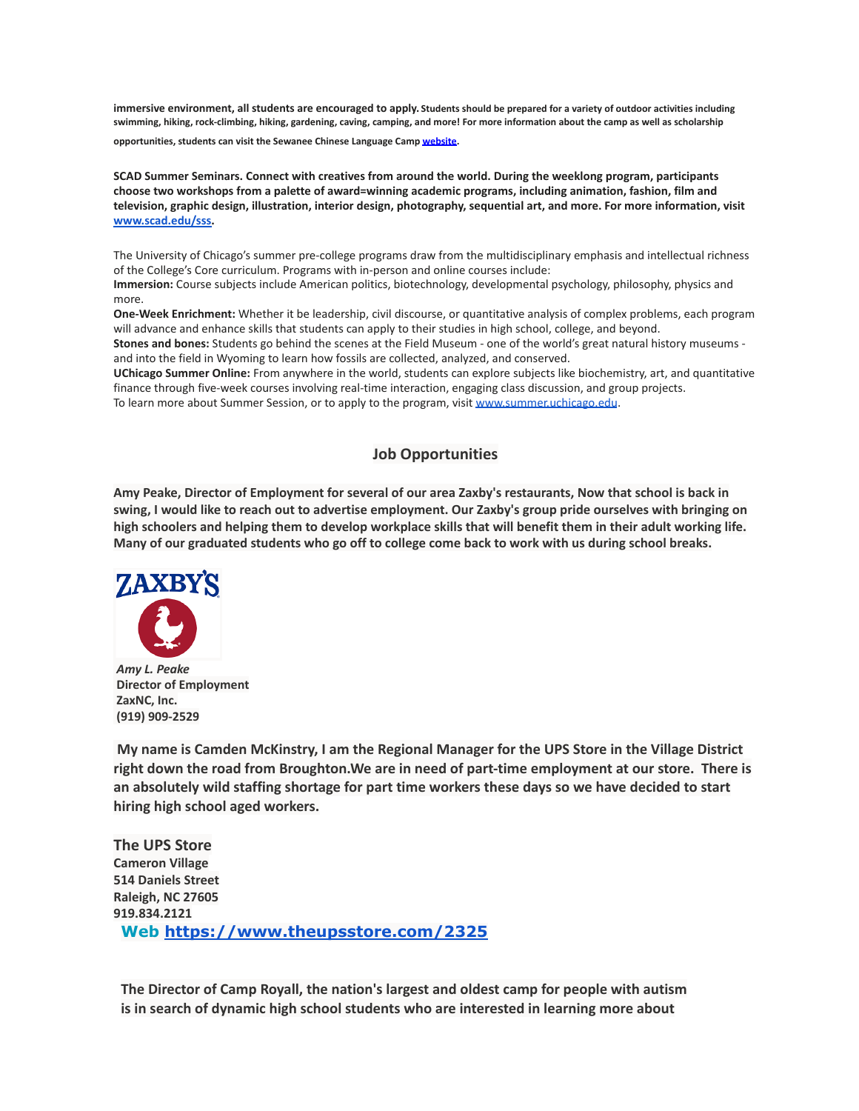**immersive environment, all students are encouraged to apply. Students should be prepared for a variety of outdoor activities including swimming, hiking, rock-climbing, hiking, gardening, caving, camping, and more! For more information about the camp as well as scholarship opportunities, students can visit the Sewanee Chinese Language Camp [website.](https://mx.technolutions.net/ss/c/eakQ-C8DCmUrd8y7yBWDFiYAOUoJQ4pz7MfbEBpip6l0y_Hm_m-q4S1NAhKySW0l0l52Av-XFInBcX_HbKNhaFaTuY25zEq03f7H2jjkYbiZerVnvT_jJBJvBnD8L-82oFcjCA4feCp5rOrmzPCcig/3h1/Zb0AzY0dSO6ybsQoCzalvA/h2/75iusWoe6oX7KGnwrl--J5PGQK1G9zr9iO3WkMg5UHE)**

**SCAD Summer Seminars. Connect with creatives from around the world. During the weeklong program, participants choose two workshops from a palette of award=winning academic programs, including animation, fashion, film and television, graphic design, illustration, interior design, photography, sequential art, and more. For more information, visit [www.scad.edu/sss.](http://www.scad.edu/sss)**

The University of Chicago's summer pre-college programs draw from the multidisciplinary emphasis and intellectual richness of the College's Core curriculum. Programs with in-person and online courses include: **Immersion:** Course subjects include American politics, biotechnology, developmental psychology, philosophy, physics and more.

**One-Week Enrichment:** Whether it be leadership, civil discourse, or quantitative analysis of complex problems, each program will advance and enhance skills that students can apply to their studies in high school, college, and beyond. **Stones and bones:** Students go behind the scenes at the Field Museum - one of the world's great natural history museums -

and into the field in Wyoming to learn how fossils are collected, analyzed, and conserved. **UChicago Summer Online:** From anywhere in the world, students can explore subjects like biochemistry, art, and quantitative

finance through five-week courses involving real-time interaction, engaging class discussion, and group projects. To learn more about Summer Session, or to apply to the program, visit [www.summer.uchicago.edu](http://www.summer.uchicago.edu).

# **Job Opportunities**

Amy Peake, Director of Employment for several of our area Zaxby's restaurants, Now that school is back in swing, I would like to reach out to advertise employment. Our Zaxby's group pride ourselves with bringing on high schoolers and helping them to develop workplace skills that will benefit them in their adult working life. Many of our graduated students who go off to college come back to work with us during school breaks.



*Amy L. Peake* **Director of Employment ZaxNC, Inc. (919) 909-2529**

**My name is Camden McKinstry, I am the Regional Manager for the UPS Store in the Village District right down the road from Broughton.We are in need of part-time employment at our store. There is an absolutely wild staffing shortage for part time workers these days so we have decided to start hiring high school aged workers.**

**The UPS Store Cameron Village 514 Daniels Street Raleigh, NC 27605 919.834.2121 Web <https://www.theupsstore.com/2325>**

**The Director of Camp Royall, the nation's largest and oldest camp for people with autism is in search of dynamic high school students who are interested in learning more about**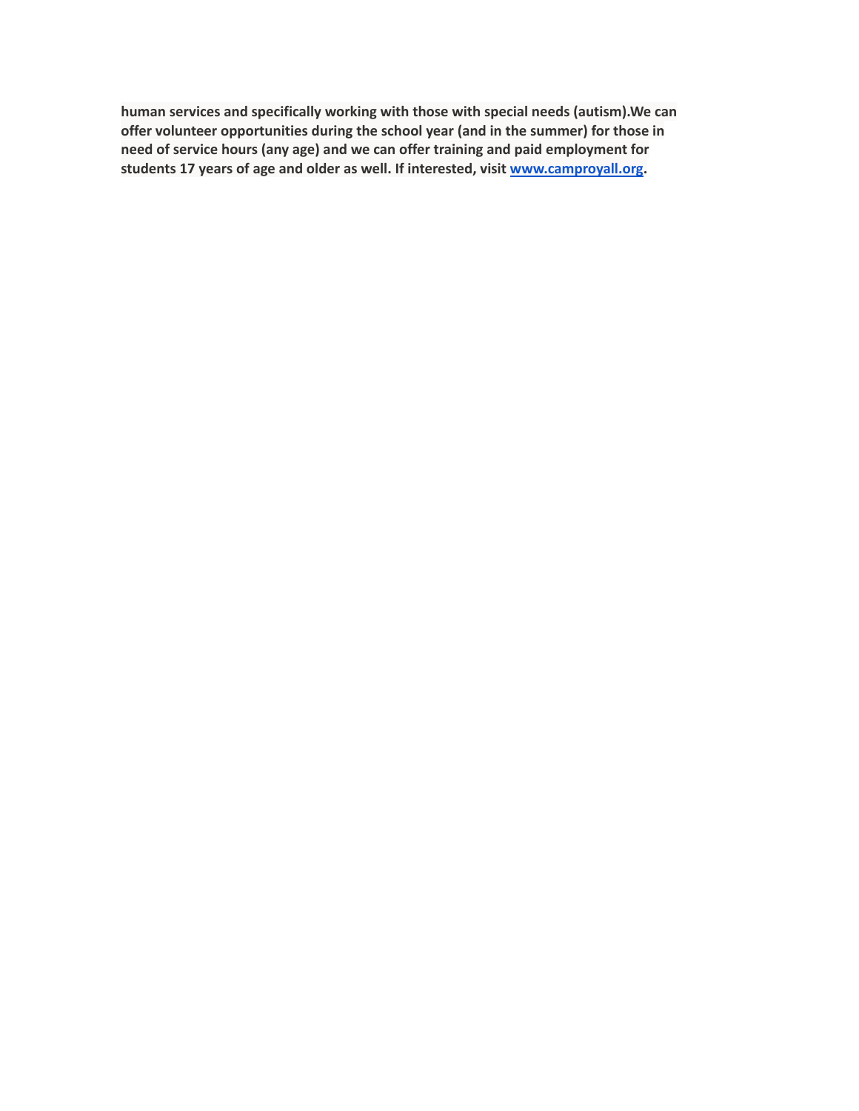**human services and specifically working with those with special needs (autism).We can offer volunteer opportunities during the school year (and in the summer) for those in need of service hours (any age) and we can offer training and paid employment for students 17 years of age and older as well. If interested, visit [www.camproyall.org.](http://www.camproyall.org)**